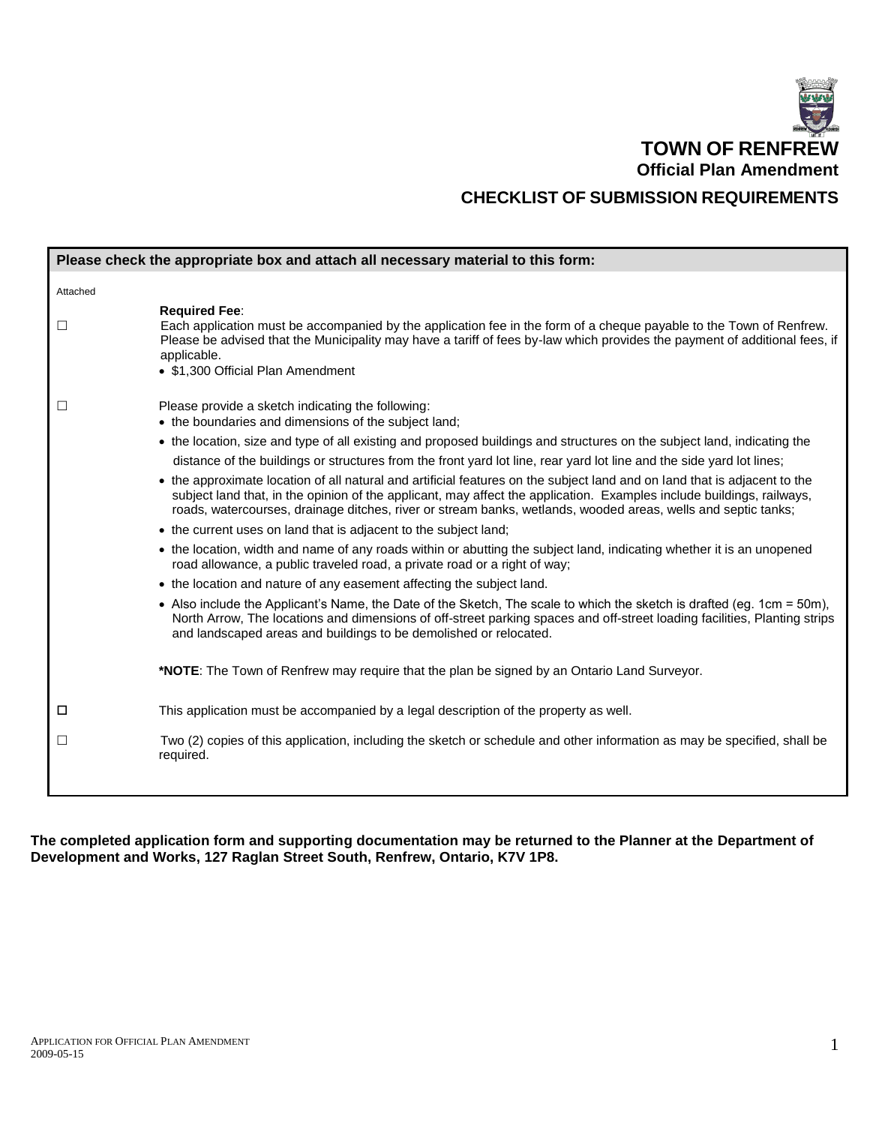

|          | Please check the appropriate box and attach all necessary material to this form:                                                                                                                                                                                                                                                                                    |
|----------|---------------------------------------------------------------------------------------------------------------------------------------------------------------------------------------------------------------------------------------------------------------------------------------------------------------------------------------------------------------------|
| Attached |                                                                                                                                                                                                                                                                                                                                                                     |
| $\Box$   | <b>Required Fee:</b><br>Each application must be accompanied by the application fee in the form of a cheque payable to the Town of Renfrew.<br>Please be advised that the Municipality may have a tariff of fees by-law which provides the payment of additional fees, if<br>applicable.<br>• \$1,300 Official Plan Amendment                                       |
| $\Box$   | Please provide a sketch indicating the following:<br>• the boundaries and dimensions of the subject land;                                                                                                                                                                                                                                                           |
|          | • the location, size and type of all existing and proposed buildings and structures on the subject land, indicating the<br>distance of the buildings or structures from the front yard lot line, rear yard lot line and the side yard lot lines;                                                                                                                    |
|          | • the approximate location of all natural and artificial features on the subject land and on land that is adjacent to the<br>subject land that, in the opinion of the applicant, may affect the application. Examples include buildings, railways,<br>roads, watercourses, drainage ditches, river or stream banks, wetlands, wooded areas, wells and septic tanks; |
|          | • the current uses on land that is adjacent to the subject land;                                                                                                                                                                                                                                                                                                    |
|          | • the location, width and name of any roads within or abutting the subject land, indicating whether it is an unopened<br>road allowance, a public traveled road, a private road or a right of way;                                                                                                                                                                  |
|          | • the location and nature of any easement affecting the subject land.                                                                                                                                                                                                                                                                                               |
|          | • Also include the Applicant's Name, the Date of the Sketch, The scale to which the sketch is drafted (eg. 1cm = 50m),<br>North Arrow, The locations and dimensions of off-street parking spaces and off-street loading facilities, Planting strips<br>and landscaped areas and buildings to be demolished or relocated.                                            |
|          | *NOTE: The Town of Renfrew may require that the plan be signed by an Ontario Land Surveyor.                                                                                                                                                                                                                                                                         |
| □        | This application must be accompanied by a legal description of the property as well.                                                                                                                                                                                                                                                                                |
| ப        | Two (2) copies of this application, including the sketch or schedule and other information as may be specified, shall be<br>required.                                                                                                                                                                                                                               |
|          |                                                                                                                                                                                                                                                                                                                                                                     |

**The completed application form and supporting documentation may be returned to the Planner at the Department of Development and Works, 127 Raglan Street South, Renfrew, Ontario, K7V 1P8.**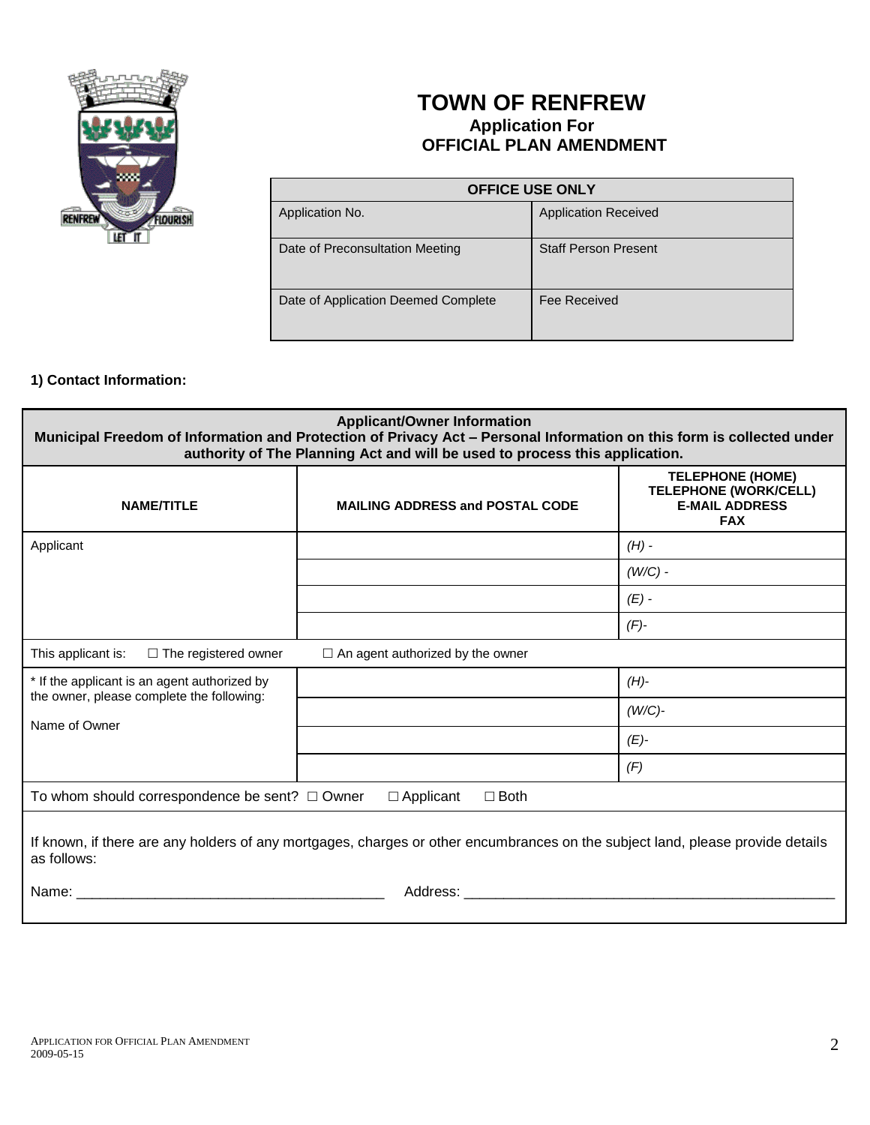

# **TOWN OF RENFREW Application For OFFICIAL PLAN AMENDMENT**

| <b>OFFICE USE ONLY</b>              |                             |  |
|-------------------------------------|-----------------------------|--|
| Application No.                     | <b>Application Received</b> |  |
| Date of Preconsultation Meeting     | <b>Staff Person Present</b> |  |
| Date of Application Deemed Complete | Fee Received                |  |

## **1) Contact Information:**

| <b>Applicant/Owner Information</b><br>Municipal Freedom of Information and Protection of Privacy Act - Personal Information on this form is collected under<br>authority of The Planning Act and will be used to process this application.                                                                                                                                      |                                         |                                                                                                |
|---------------------------------------------------------------------------------------------------------------------------------------------------------------------------------------------------------------------------------------------------------------------------------------------------------------------------------------------------------------------------------|-----------------------------------------|------------------------------------------------------------------------------------------------|
| <b>NAME/TITLE</b>                                                                                                                                                                                                                                                                                                                                                               | <b>MAILING ADDRESS and POSTAL CODE</b>  | <b>TELEPHONE (HOME)</b><br><b>TELEPHONE (WORK/CELL)</b><br><b>E-MAIL ADDRESS</b><br><b>FAX</b> |
| Applicant                                                                                                                                                                                                                                                                                                                                                                       |                                         | $(H)$ -                                                                                        |
|                                                                                                                                                                                                                                                                                                                                                                                 |                                         | $(W/C)$ -                                                                                      |
|                                                                                                                                                                                                                                                                                                                                                                                 |                                         | $(E)$ -                                                                                        |
|                                                                                                                                                                                                                                                                                                                                                                                 |                                         | $(F)$ -                                                                                        |
| This applicant is:<br>$\Box$ The registered owner                                                                                                                                                                                                                                                                                                                               | $\Box$ An agent authorized by the owner |                                                                                                |
| * If the applicant is an agent authorized by<br>the owner, please complete the following:                                                                                                                                                                                                                                                                                       |                                         | $(H)$ -                                                                                        |
| Name of Owner                                                                                                                                                                                                                                                                                                                                                                   |                                         | $(W/C)$ -                                                                                      |
|                                                                                                                                                                                                                                                                                                                                                                                 |                                         | $(E)-$                                                                                         |
|                                                                                                                                                                                                                                                                                                                                                                                 |                                         | (F)                                                                                            |
| To whom should correspondence be sent? $\Box$ Owner<br>$\Box$ Applicant<br>$\Box$ Both                                                                                                                                                                                                                                                                                          |                                         |                                                                                                |
| If known, if there are any holders of any mortgages, charges or other encumbrances on the subject land, please provide details<br>as follows:<br>Name: Name: All and the state of the state of the state of the state of the state of the state of the state of the state of the state of the state of the state of the state of the state of the state of the state of the sta |                                         |                                                                                                |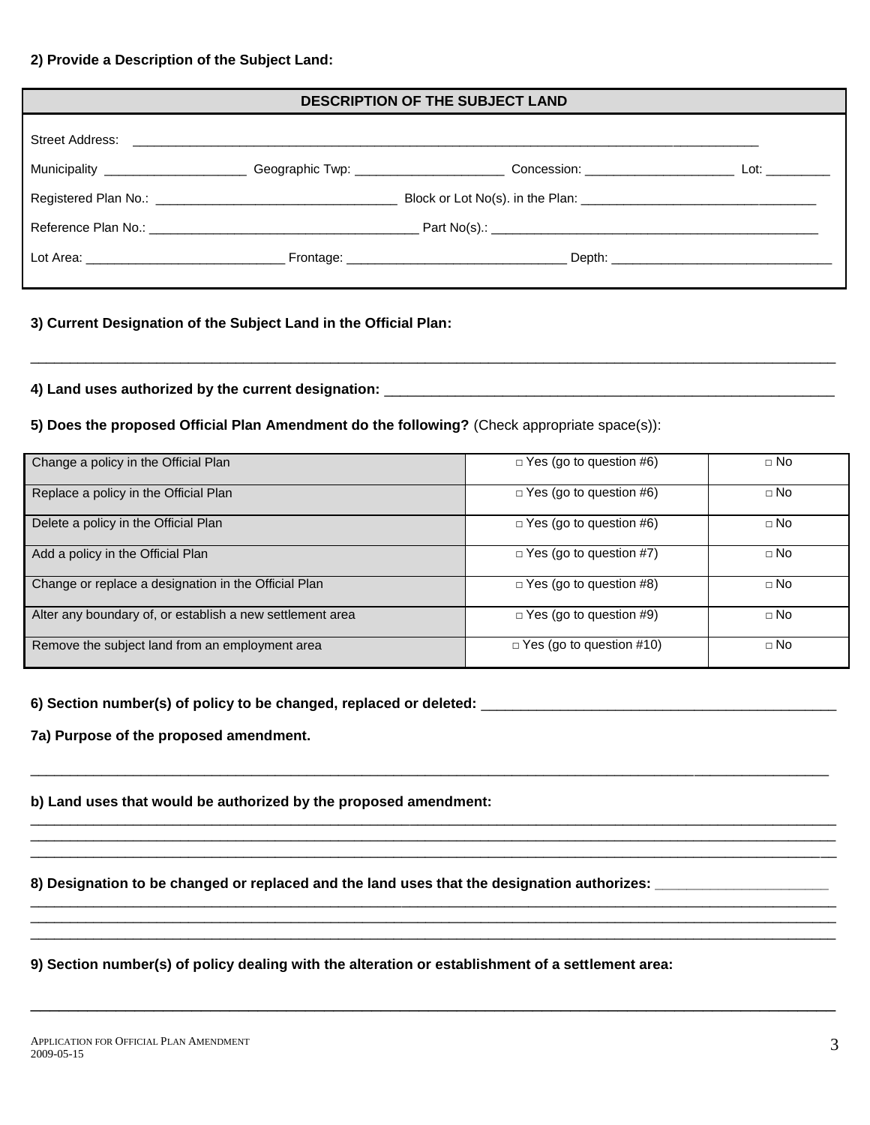#### **2) Provide a Description of the Subject Land:**

| <b>DESCRIPTION OF THE SUBJECT LAND</b> |  |                                                                                                                                        |  |
|----------------------------------------|--|----------------------------------------------------------------------------------------------------------------------------------------|--|
|                                        |  |                                                                                                                                        |  |
|                                        |  | Municipality ______________________Geographic Twp: ________________________Concession: ___________________________Lot: _______________ |  |
|                                        |  |                                                                                                                                        |  |
|                                        |  |                                                                                                                                        |  |
|                                        |  |                                                                                                                                        |  |

\_\_\_\_\_\_\_\_\_\_\_\_\_\_\_\_\_\_\_\_\_\_\_\_\_\_\_\_\_\_\_\_\_\_\_\_\_\_\_\_\_\_\_\_\_\_\_\_\_\_\_\_\_\_\_\_\_\_\_\_\_\_\_\_\_\_\_\_\_\_\_\_\_\_\_\_\_\_\_\_\_\_\_\_\_\_\_\_\_\_\_\_\_\_\_\_\_\_\_\_\_\_

### **3) Current Designation of the Subject Land in the Official Plan:**

#### **4) Land uses authorized by the current designation:** \_\_\_\_\_\_\_\_\_\_\_\_\_\_\_\_\_\_\_\_\_\_\_\_\_\_\_\_\_\_\_\_\_\_\_\_\_\_\_\_\_\_\_\_\_\_\_\_\_\_\_\_\_\_\_\_\_

**5) Does the proposed Official Plan Amendment do the following?** (Check appropriate space(s)):

| Change a policy in the Official Plan                      | $\Box$ Yes (go to question #6)  | $\Box$ No |
|-----------------------------------------------------------|---------------------------------|-----------|
| Replace a policy in the Official Plan                     | $\Box$ Yes (go to question #6)  | $\Box$ No |
| Delete a policy in the Official Plan                      | $\Box$ Yes (go to question #6)  | $\Box$ No |
| Add a policy in the Official Plan                         | $\Box$ Yes (go to question #7)  | $\Box$ No |
| Change or replace a designation in the Official Plan      | $\Box$ Yes (go to question #8)  | $\Box$ No |
| Alter any boundary of, or establish a new settlement area | $\Box$ Yes (go to question #9)  | $\Box$ No |
| Remove the subject land from an employment area           | $\Box$ Yes (go to question #10) | $\Box$ No |

\_\_\_\_\_\_\_\_\_\_\_\_\_\_\_\_\_\_\_\_\_\_\_\_\_\_\_\_\_\_\_\_\_\_\_\_\_\_\_\_\_\_\_\_\_\_\_\_\_\_\_\_\_\_\_\_\_\_\_\_\_\_\_\_\_\_\_\_\_\_\_\_\_\_\_\_\_\_\_\_\_\_\_\_\_\_\_\_\_\_\_\_\_\_\_\_\_\_\_\_\_

\_\_\_\_\_\_\_\_\_\_\_\_\_\_\_\_\_\_\_\_\_\_\_\_\_\_\_\_\_\_\_\_\_\_\_\_\_\_\_\_\_\_\_\_\_\_\_\_\_\_\_\_\_\_\_\_\_\_\_\_\_\_\_\_\_\_\_\_\_\_\_\_\_\_\_\_\_\_\_\_\_\_\_\_\_\_\_\_\_\_\_\_\_\_\_\_\_\_\_\_\_\_ \_\_\_\_\_\_\_\_\_\_\_\_\_\_\_\_\_\_\_\_\_\_\_\_\_\_\_\_\_\_\_\_\_\_\_\_\_\_\_\_\_\_\_\_\_\_\_\_\_\_\_\_\_\_\_\_\_\_\_\_\_\_\_\_\_\_\_\_\_\_\_\_\_\_\_\_\_\_\_\_\_\_\_\_\_\_\_\_\_\_\_\_\_\_\_\_\_\_\_\_\_\_ \_\_\_\_\_\_\_\_\_\_\_\_\_\_\_\_\_\_\_\_\_\_\_\_\_\_\_\_\_\_\_\_\_\_\_\_\_\_\_\_\_\_\_\_\_\_\_\_\_\_\_\_\_\_\_\_\_\_\_\_\_\_\_\_\_\_\_\_\_\_\_\_\_\_\_\_\_\_\_\_\_\_\_\_\_\_\_\_\_\_\_\_\_\_\_\_\_\_\_\_\_\_

\_\_\_\_\_\_\_\_\_\_\_\_\_\_\_\_\_\_\_\_\_\_\_\_\_\_\_\_\_\_\_\_\_\_\_\_\_\_\_\_\_\_\_\_\_\_\_\_\_\_\_\_\_\_\_\_\_\_\_\_\_\_\_\_\_\_\_\_\_\_\_\_\_\_\_\_\_\_\_\_\_\_\_\_\_\_\_\_\_\_\_\_\_\_\_\_\_\_\_\_\_\_ \_\_\_\_\_\_\_\_\_\_\_\_\_\_\_\_\_\_\_\_\_\_\_\_\_\_\_\_\_\_\_\_\_\_\_\_\_\_\_\_\_\_\_\_\_\_\_\_\_\_\_\_\_\_\_\_\_\_\_\_\_\_\_\_\_\_\_\_\_\_\_\_\_\_\_\_\_\_\_\_\_\_\_\_\_\_\_\_\_\_\_\_\_\_\_\_\_\_\_\_\_\_ \_\_\_\_\_\_\_\_\_\_\_\_\_\_\_\_\_\_\_\_\_\_\_\_\_\_\_\_\_\_\_\_\_\_\_\_\_\_\_\_\_\_\_\_\_\_\_\_\_\_\_\_\_\_\_\_\_\_\_\_\_\_\_\_\_\_\_\_\_\_\_\_\_\_\_\_\_\_\_\_\_\_\_\_\_\_\_\_\_\_\_\_\_\_\_\_\_\_\_\_\_\_

\_\_\_\_\_\_\_\_\_\_\_\_\_\_\_\_\_\_\_\_\_\_\_\_\_\_\_\_\_\_\_\_\_\_\_\_\_\_\_\_\_\_\_\_\_\_\_\_\_\_\_\_\_\_\_\_\_\_\_\_\_\_\_\_\_\_\_\_\_\_\_\_\_\_\_\_\_\_\_\_\_\_\_\_\_

#### **6) Section number(s) of policy to be changed, replaced or deleted:** \_\_\_\_\_\_\_\_\_\_\_\_\_\_\_\_\_\_\_\_\_\_\_\_\_\_\_\_\_\_\_\_\_\_\_\_\_\_\_\_\_\_\_\_\_

**7a) Purpose of the proposed amendment.**

**b) Land uses that would be authorized by the proposed amendment:**

**8) Designation to be changed or replaced and the land uses that the designation authorizes: \_\_\_\_\_\_\_\_\_\_\_\_\_\_\_\_\_\_\_\_\_\_**

#### **9) Section number(s) of policy dealing with the alteration or establishment of a settlement area:**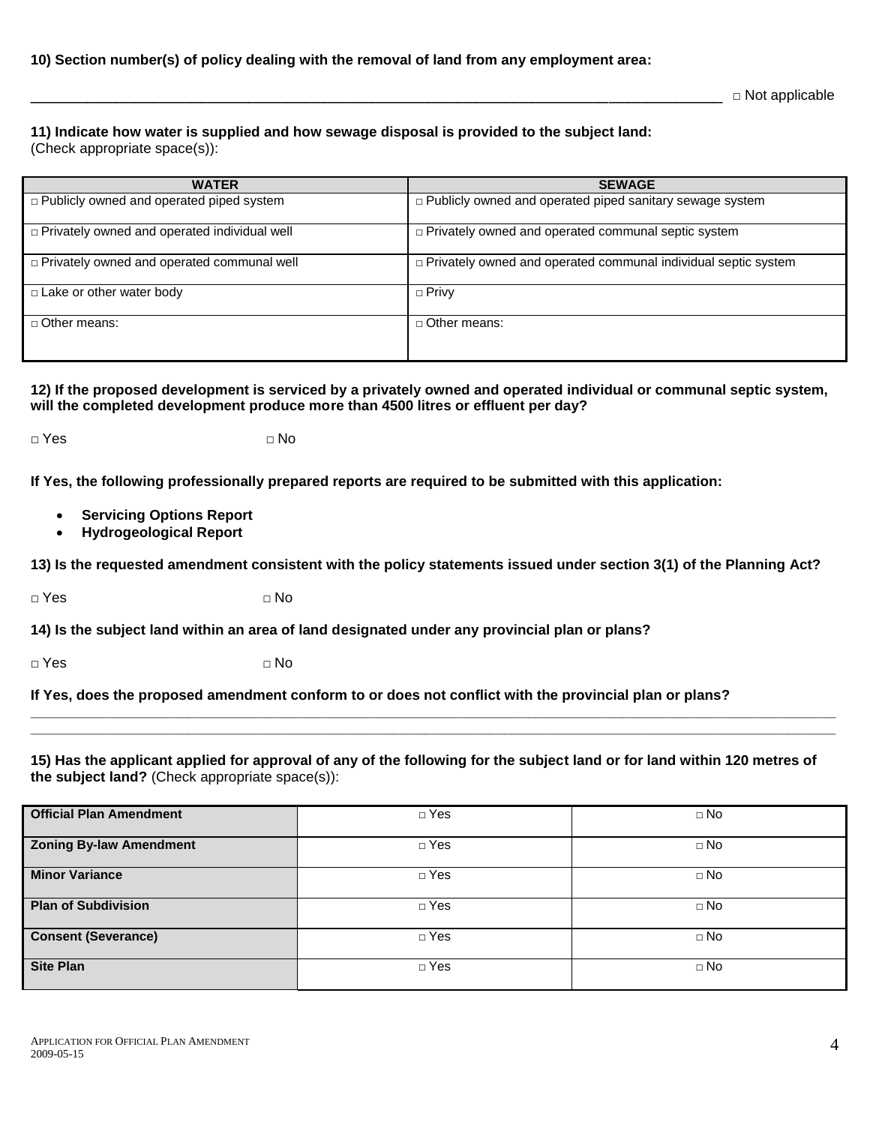### **10) Section number(s) of policy dealing with the removal of land from any employment area:**

 $\square$  Not applicable

**11) Indicate how water is supplied and how sewage disposal is provided to the subject land:**

(Check appropriate space(s)):

| <b>WATER</b>                                        | <b>SEWAGE</b>                                                         |
|-----------------------------------------------------|-----------------------------------------------------------------------|
| $\Box$ Publicly owned and operated piped system     | $\Box$ Publicly owned and operated piped sanitary sewage system       |
| $\Box$ Privately owned and operated individual well | p Privately owned and operated communal septic system                 |
| $\Box$ Privately owned and operated communal well   | $\Box$ Privately owned and operated communal individual septic system |
| $\Box$ Lake or other water body                     | $\Box$ Privy                                                          |
| $\Box$ Other means:                                 | $\Box$ Other means:                                                   |

**12) If the proposed development is serviced by a privately owned and operated individual or communal septic system, will the completed development produce more than 4500 litres or effluent per day?**

**□** Yes **□** No

**If Yes, the following professionally prepared reports are required to be submitted with this application:**

- **Servicing Options Report**
- **Hydrogeological Report**

**13) Is the requested amendment consistent with the policy statements issued under section 3(1) of the Planning Act?**

**□** Yes **□** No

**14) Is the subject land within an area of land designated under any provincial plan or plans?** 

**□** Yes **□** No

**If Yes, does the proposed amendment conform to or does not conflict with the provincial plan or plans?** 

**15) Has the applicant applied for approval of any of the following for the subject land or for land within 120 metres of the subject land?** (Check appropriate space(s)):

**\_\_\_\_\_\_\_\_\_\_\_\_\_\_\_\_\_\_\_\_\_\_\_\_\_\_\_\_\_\_\_\_\_\_\_\_\_\_\_\_\_\_\_\_\_\_\_\_\_\_\_\_\_\_\_\_\_\_\_\_\_\_\_\_\_\_\_\_\_\_\_\_\_\_\_\_\_\_\_\_\_\_\_\_\_\_\_\_\_\_\_\_\_\_\_\_\_\_\_\_\_\_ \_\_\_\_\_\_\_\_\_\_\_\_\_\_\_\_\_\_\_\_\_\_\_\_\_\_\_\_\_\_\_\_\_\_\_\_\_\_\_\_\_\_\_\_\_\_\_\_\_\_\_\_\_\_\_\_\_\_\_\_\_\_\_\_\_\_\_\_\_\_\_\_\_\_\_\_\_\_\_\_\_\_\_\_\_\_\_\_\_\_\_\_\_\_\_\_\_\_\_\_\_\_**

| <b>Official Plan Amendment</b> | $\Box$ Yes | $\Box$ No |
|--------------------------------|------------|-----------|
| <b>Zoning By-law Amendment</b> | $\Box$ Yes | $\Box$ No |
| <b>Minor Variance</b>          | $\Box$ Yes | $\Box$ No |
| <b>Plan of Subdivision</b>     | $\Box$ Yes | $\Box$ No |
| <b>Consent (Severance)</b>     | $\Box$ Yes | $\Box$ No |
| <b>Site Plan</b>               | $\Box$ Yes | $\Box$ No |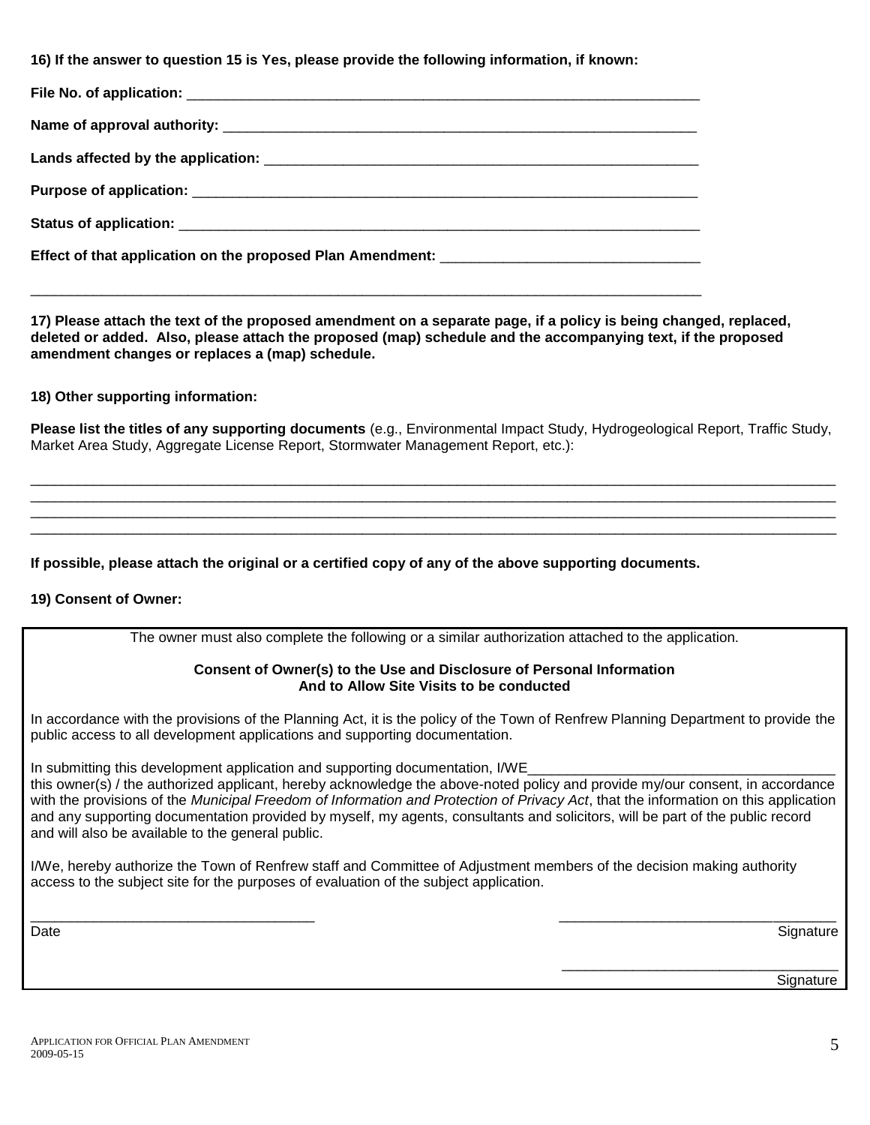**16) If the answer to question 15 is Yes, please provide the following information, if known:**

\_\_\_\_\_\_\_\_\_\_\_\_\_\_\_\_\_\_\_\_\_\_\_\_\_\_\_\_\_\_\_\_\_\_\_\_\_\_\_\_\_\_\_\_\_\_\_\_\_\_\_\_\_\_\_\_\_\_\_\_\_\_\_\_\_\_\_\_\_\_\_\_\_\_\_\_\_\_\_\_\_\_\_\_\_

**17) Please attach the text of the proposed amendment on a separate page, if a policy is being changed, replaced, deleted or added. Also, please attach the proposed (map) schedule and the accompanying text, if the proposed amendment changes or replaces a (map) schedule.** 

**18) Other supporting information:**

**Please list the titles of any supporting documents** (e.g., Environmental Impact Study, Hydrogeological Report, Traffic Study, Market Area Study, Aggregate License Report, Stormwater Management Report, etc.):

\_\_\_\_\_\_\_\_\_\_\_\_\_\_\_\_\_\_\_\_\_\_\_\_\_\_\_\_\_\_\_\_\_\_\_\_\_\_\_\_\_\_\_\_\_\_\_\_\_\_\_\_\_\_\_\_\_\_\_\_\_\_\_\_\_\_\_\_\_\_\_\_\_\_\_\_\_\_\_\_\_\_\_\_\_\_\_\_\_\_\_\_\_\_\_\_\_\_\_\_\_\_ \_\_\_\_\_\_\_\_\_\_\_\_\_\_\_\_\_\_\_\_\_\_\_\_\_\_\_\_\_\_\_\_\_\_\_\_\_\_\_\_\_\_\_\_\_\_\_\_\_\_\_\_\_\_\_\_\_\_\_\_\_\_\_\_\_\_\_\_\_\_\_\_\_\_\_\_\_\_\_\_\_\_\_\_\_\_\_\_\_\_\_\_\_\_\_\_\_\_\_\_\_\_ \_\_\_\_\_\_\_\_\_\_\_\_\_\_\_\_\_\_\_\_\_\_\_\_\_\_\_\_\_\_\_\_\_\_\_\_\_\_\_\_\_\_\_\_\_\_\_\_\_\_\_\_\_\_\_\_\_\_\_\_\_\_\_\_\_\_\_\_\_\_\_\_\_\_\_\_\_\_\_\_\_\_\_\_\_\_\_\_\_\_\_\_\_\_\_\_\_\_\_\_\_\_ \_\_\_\_\_\_\_\_\_\_\_\_\_\_\_\_\_\_\_\_\_\_\_\_\_\_\_\_\_\_\_\_\_\_\_\_\_\_\_\_\_\_\_\_\_\_\_\_\_\_\_\_\_\_\_\_\_\_\_\_\_\_\_\_\_\_\_\_\_\_\_\_\_\_\_\_\_\_\_\_\_\_\_\_\_\_\_\_\_\_\_\_\_\_\_\_\_\_\_\_\_\_

**If possible, please attach the original or a certified copy of any of the above supporting documents.** 

### **19) Consent of Owner:**

The owner must also complete the following or a similar authorization attached to the application.

### **Consent of Owner(s) to the Use and Disclosure of Personal Information And to Allow Site Visits to be conducted**

In accordance with the provisions of the Planning Act, it is the policy of the Town of Renfrew Planning Department to provide the public access to all development applications and supporting documentation.

In submitting this development application and supporting documentation, I/WE

this owner(s) / the authorized applicant, hereby acknowledge the above-noted policy and provide my/our consent, in accordance with the provisions of the *Municipal Freedom of Information and Protection of Privacy Act*, that the information on this application and any supporting documentation provided by myself, my agents, consultants and solicitors, will be part of the public record and will also be available to the general public.

I/We, hereby authorize the Town of Renfrew staff and Committee of Adjustment members of the decision making authority access to the subject site for the purposes of evaluation of the subject application.

\_\_\_\_\_\_\_\_\_\_\_\_\_\_\_\_\_\_\_\_\_\_\_\_\_\_\_\_\_\_\_\_\_\_\_\_ \_\_\_\_\_\_\_\_\_\_\_\_\_\_\_\_\_\_\_\_\_\_\_\_\_\_\_\_\_\_\_\_\_\_\_ Date and the Signature of the Signature of the Signature of the Signature of the Signature of the Signature of the Signature of the Signature of the Signature of the Signature of the Signature of the Signature of the Signa

\_\_\_\_\_\_\_\_\_\_\_\_\_\_\_\_\_\_\_\_\_\_\_\_\_\_\_\_\_\_\_\_\_\_\_ en de la construction de la construction de la construction de la construction de la construction de la construction de la construction de la construction de la construction de la construction de la construction de la cons

APPLICATION FOR OFFICIAL PLAN AMENDMENT 2009-05-15